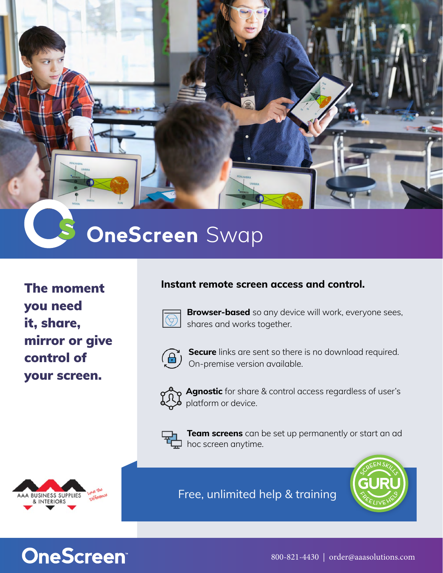

## **OneScreen** Swap

The moment you need it, share, mirror or give control of your screen.

#### **Instant remote screen access and control.**



**Browser-based** so any device will work, everyone sees, shares and works together.



**Secure** links are sent so there is no download required. On-premise version available.



**Agnostic** for share & control access regardless of user's platform or device.



**Team screens** can be set up permanently or start an ad hoc screen anytime.



Free, unlimited help & training



## **OneScreen®**